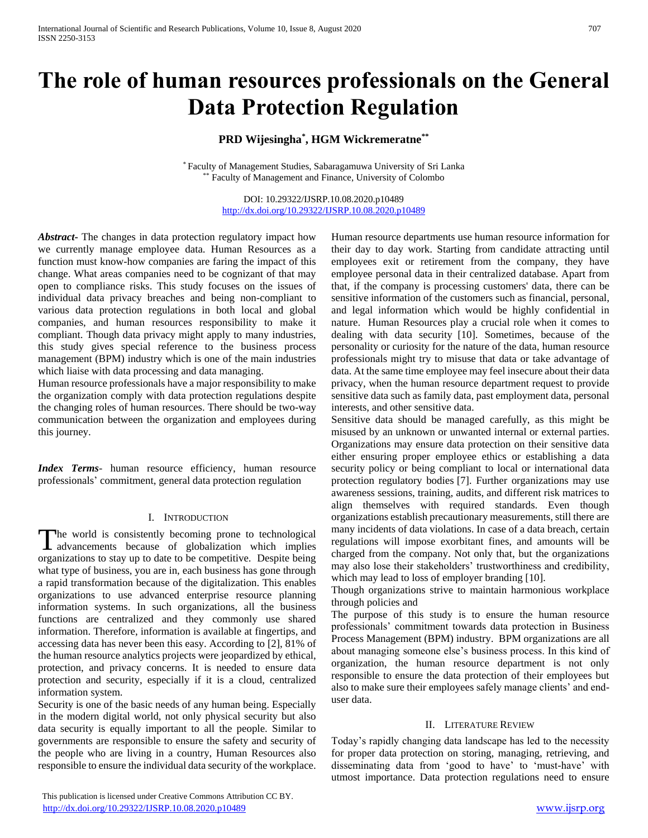# **The role of human resources professionals on the General Data Protection Regulation**

## **PRD Wijesingha\* , HGM Wickremeratne\*\***

\* Faculty of Management Studies, Sabaragamuwa University of Sri Lanka \*\* Faculty of Management and Finance, University of Colombo

> DOI: 10.29322/IJSRP.10.08.2020.p10489 <http://dx.doi.org/10.29322/IJSRP.10.08.2020.p10489>

*Abstract***-** The changes in data protection regulatory impact how we currently manage employee data. Human Resources as a function must know-how companies are faring the impact of this change. What areas companies need to be cognizant of that may open to compliance risks. This study focuses on the issues of individual data privacy breaches and being non-compliant to various data protection regulations in both local and global companies, and human resources responsibility to make it compliant. Though data privacy might apply to many industries, this study gives special reference to the business process management (BPM) industry which is one of the main industries which liaise with data processing and data managing.

Human resource professionals have a major responsibility to make the organization comply with data protection regulations despite the changing roles of human resources. There should be two-way communication between the organization and employees during this journey.

*Index Terms*- human resource efficiency, human resource professionals' commitment, general data protection regulation

#### I. INTRODUCTION

he world is consistently becoming prone to technological The world is consistently becoming prone to technological advancements because of globalization which implies organizations to stay up to date to be competitive. Despite being what type of business, you are in, each business has gone through a rapid transformation because of the digitalization. This enables organizations to use advanced enterprise resource planning information systems. In such organizations, all the business functions are centralized and they commonly use shared information. Therefore, information is available at fingertips, and accessing data has never been this easy. According to [2], 81% of the human resource analytics projects were jeopardized by ethical, protection, and privacy concerns. It is needed to ensure data protection and security, especially if it is a cloud, centralized information system.

Security is one of the basic needs of any human being. Especially in the modern digital world, not only physical security but also data security is equally important to all the people. Similar to governments are responsible to ensure the safety and security of the people who are living in a country, Human Resources also responsible to ensure the individual data security of the workplace.

Human resource departments use human resource information for their day to day work. Starting from candidate attracting until employees exit or retirement from the company, they have employee personal data in their centralized database. Apart from that, if the company is processing customers' data, there can be sensitive information of the customers such as financial, personal, and legal information which would be highly confidential in nature. Human Resources play a crucial role when it comes to dealing with data security [10]. Sometimes, because of the personality or curiosity for the nature of the data, human resource professionals might try to misuse that data or take advantage of data. At the same time employee may feel insecure about their data privacy, when the human resource department request to provide sensitive data such as family data, past employment data, personal interests, and other sensitive data.

Sensitive data should be managed carefully, as this might be misused by an unknown or unwanted internal or external parties. Organizations may ensure data protection on their sensitive data either ensuring proper employee ethics or establishing a data security policy or being compliant to local or international data protection regulatory bodies [7]. Further organizations may use awareness sessions, training, audits, and different risk matrices to align themselves with required standards. Even though organizations establish precautionary measurements, still there are many incidents of data violations. In case of a data breach, certain regulations will impose exorbitant fines, and amounts will be charged from the company. Not only that, but the organizations may also lose their stakeholders' trustworthiness and credibility, which may lead to loss of employer branding [10].

Though organizations strive to maintain harmonious workplace through policies and

The purpose of this study is to ensure the human resource professionals' commitment towards data protection in Business Process Management (BPM) industry. BPM organizations are all about managing someone else's business process. In this kind of organization, the human resource department is not only responsible to ensure the data protection of their employees but also to make sure their employees safely manage clients' and enduser data.

#### II. LITERATURE REVIEW

Today's rapidly changing data landscape has led to the necessity for proper data protection on storing, managing, retrieving, and disseminating data from 'good to have' to 'must-have' with utmost importance. Data protection regulations need to ensure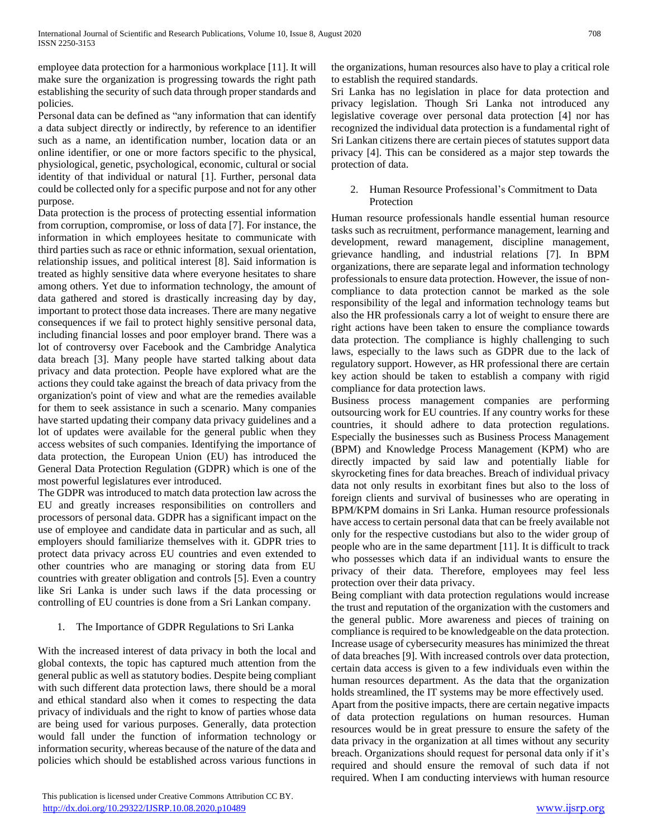employee data protection for a harmonious workplace [11]. It will make sure the organization is progressing towards the right path establishing the security of such data through proper standards and policies.

Personal data can be defined as "any information that can identify a data subject directly or indirectly, by reference to an identifier such as a name, an identification number, location data or an online identifier, or one or more factors specific to the physical, physiological, genetic, psychological, economic, cultural or social identity of that individual or natural [1]. Further, personal data could be collected only for a specific purpose and not for any other purpose.

Data protection is the process of protecting essential information from corruption, compromise, or loss of data [7]. For instance, the information in which employees hesitate to communicate with third parties such as race or ethnic information, sexual orientation, relationship issues, and political interest [8]. Said information is treated as highly sensitive data where everyone hesitates to share among others. Yet due to information technology, the amount of data gathered and stored is drastically increasing day by day, important to protect those data increases. There are many negative consequences if we fail to protect highly sensitive personal data, including financial losses and poor employer brand. There was a lot of controversy over Facebook and the Cambridge Analytica data breach [3]. Many people have started talking about data privacy and data protection. People have explored what are the actions they could take against the breach of data privacy from the organization's point of view and what are the remedies available for them to seek assistance in such a scenario. Many companies have started updating their company data privacy guidelines and a lot of updates were available for the general public when they access websites of such companies. Identifying the importance of data protection, the European Union (EU) has introduced the General Data Protection Regulation (GDPR) which is one of the most powerful legislatures ever introduced.

The GDPR was introduced to match data protection law across the EU and greatly increases responsibilities on controllers and processors of personal data. GDPR has a significant impact on the use of employee and candidate data in particular and as such, all employers should familiarize themselves with it. GDPR tries to protect data privacy across EU countries and even extended to other countries who are managing or storing data from EU countries with greater obligation and controls [5]. Even a country like Sri Lanka is under such laws if the data processing or controlling of EU countries is done from a Sri Lankan company.

## 1. The Importance of GDPR Regulations to Sri Lanka

With the increased interest of data privacy in both the local and global contexts, the topic has captured much attention from the general public as well as statutory bodies. Despite being compliant with such different data protection laws, there should be a moral and ethical standard also when it comes to respecting the data privacy of individuals and the right to know of parties whose data are being used for various purposes. Generally, data protection would fall under the function of information technology or information security, whereas because of the nature of the data and policies which should be established across various functions in the organizations, human resources also have to play a critical role to establish the required standards.

Sri Lanka has no legislation in place for data protection and privacy legislation. Though Sri Lanka not introduced any legislative coverage over personal data protection [4] nor has recognized the individual data protection is a fundamental right of Sri Lankan citizens there are certain pieces of statutes support data privacy [4]. This can be considered as a major step towards the protection of data.

## 2. Human Resource Professional's Commitment to Data Protection

Human resource professionals handle essential human resource tasks such as recruitment, performance management, learning and development, reward management, discipline management, grievance handling, and industrial relations [7]. In BPM organizations, there are separate legal and information technology professionals to ensure data protection. However, the issue of noncompliance to data protection cannot be marked as the sole responsibility of the legal and information technology teams but also the HR professionals carry a lot of weight to ensure there are right actions have been taken to ensure the compliance towards data protection. The compliance is highly challenging to such laws, especially to the laws such as GDPR due to the lack of regulatory support. However, as HR professional there are certain key action should be taken to establish a company with rigid compliance for data protection laws.

Business process management companies are performing outsourcing work for EU countries. If any country works for these countries, it should adhere to data protection regulations. Especially the businesses such as Business Process Management (BPM) and Knowledge Process Management (KPM) who are directly impacted by said law and potentially liable for skyrocketing fines for data breaches. Breach of individual privacy data not only results in exorbitant fines but also to the loss of foreign clients and survival of businesses who are operating in BPM/KPM domains in Sri Lanka. Human resource professionals have access to certain personal data that can be freely available not only for the respective custodians but also to the wider group of people who are in the same department [11]. It is difficult to track who possesses which data if an individual wants to ensure the privacy of their data. Therefore, employees may feel less protection over their data privacy.

Being compliant with data protection regulations would increase the trust and reputation of the organization with the customers and the general public. More awareness and pieces of training on compliance is required to be knowledgeable on the data protection. Increase usage of cybersecurity measures has minimized the threat of data breaches [9]. With increased controls over data protection, certain data access is given to a few individuals even within the human resources department. As the data that the organization holds streamlined, the IT systems may be more effectively used.

Apart from the positive impacts, there are certain negative impacts of data protection regulations on human resources. Human resources would be in great pressure to ensure the safety of the data privacy in the organization at all times without any security breach. Organizations should request for personal data only if it's required and should ensure the removal of such data if not required. When I am conducting interviews with human resource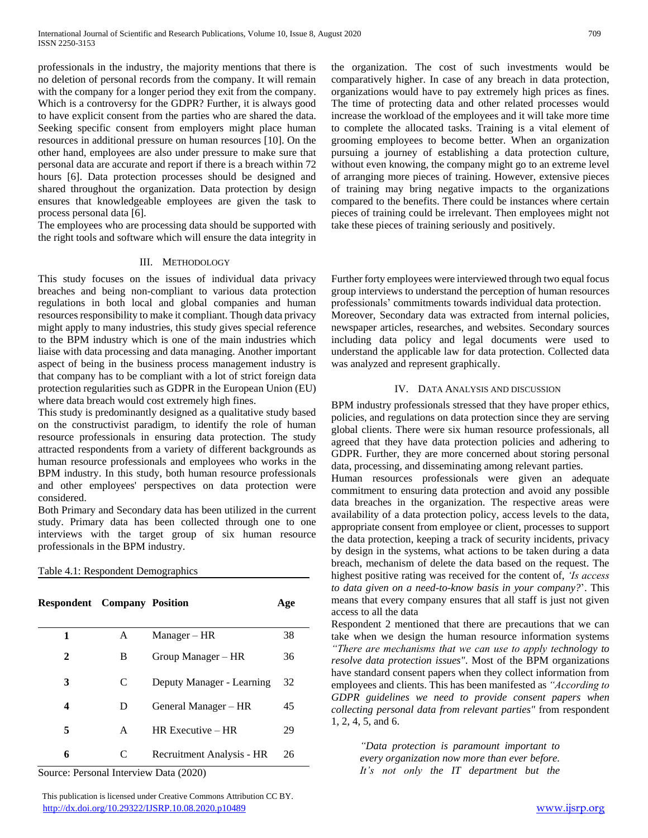professionals in the industry, the majority mentions that there is no deletion of personal records from the company. It will remain with the company for a longer period they exit from the company. Which is a controversy for the GDPR? Further, it is always good to have explicit consent from the parties who are shared the data. Seeking specific consent from employers might place human resources in additional pressure on human resources [10]. On the other hand, employees are also under pressure to make sure that personal data are accurate and report if there is a breach within 72 hours [6]. Data protection processes should be designed and shared throughout the organization. Data protection by design ensures that knowledgeable employees are given the task to process personal data [6].

The employees who are processing data should be supported with the right tools and software which will ensure the data integrity in

#### III. METHODOLOGY

This study focuses on the issues of individual data privacy breaches and being non-compliant to various data protection regulations in both local and global companies and human resources responsibility to make it compliant. Though data privacy might apply to many industries, this study gives special reference to the BPM industry which is one of the main industries which liaise with data processing and data managing. Another important aspect of being in the business process management industry is that company has to be compliant with a lot of strict foreign data protection regularities such as GDPR in the European Union (EU) where data breach would cost extremely high fines.

This study is predominantly designed as a qualitative study based on the constructivist paradigm, to identify the role of human resource professionals in ensuring data protection. The study attracted respondents from a variety of different backgrounds as human resource professionals and employees who works in the BPM industry. In this study, both human resource professionals and other employees' perspectives on data protection were considered.

Both Primary and Secondary data has been utilized in the current study. Primary data has been collected through one to one interviews with the target group of six human resource professionals in the BPM industry.

| Table 4.1: Respondent Demographics |  |  |  |  |
|------------------------------------|--|--|--|--|
|------------------------------------|--|--|--|--|

| <b>Respondent</b> Company Position |   |                           | Age |
|------------------------------------|---|---------------------------|-----|
| 1                                  | A | $Manager - HR$            | 38  |
| 2                                  | B | Group Manager – HR        | 36  |
| 3                                  | C | Deputy Manager - Learning | 32  |
| 4                                  | Ð | General Manager – HR      | 45  |
| 5                                  | A | $HR$ Executive – $HR$     | 29  |
| 6                                  | C | Recruitment Analysis - HR | 26  |

Source: Personal Interview Data (2020)

 This publication is licensed under Creative Commons Attribution CC BY. <http://dx.doi.org/10.29322/IJSRP.10.08.2020.p10489> [www.ijsrp.org](http://ijsrp.org/)

the organization. The cost of such investments would be comparatively higher. In case of any breach in data protection, organizations would have to pay extremely high prices as fines. The time of protecting data and other related processes would increase the workload of the employees and it will take more time to complete the allocated tasks. Training is a vital element of grooming employees to become better. When an organization pursuing a journey of establishing a data protection culture, without even knowing, the company might go to an extreme level of arranging more pieces of training. However, extensive pieces of training may bring negative impacts to the organizations compared to the benefits. There could be instances where certain pieces of training could be irrelevant. Then employees might not take these pieces of training seriously and positively.

Further forty employees were interviewed through two equal focus group interviews to understand the perception of human resources professionals' commitments towards individual data protection. Moreover, Secondary data was extracted from internal policies, newspaper articles, researches, and websites. Secondary sources including data policy and legal documents were used to understand the applicable law for data protection. Collected data was analyzed and represent graphically.

#### IV. DATA ANALYSIS AND DISCUSSION

BPM industry professionals stressed that they have proper ethics, policies, and regulations on data protection since they are serving global clients. There were six human resource professionals, all agreed that they have data protection policies and adhering to GDPR. Further, they are more concerned about storing personal data, processing, and disseminating among relevant parties.

Human resources professionals were given an adequate commitment to ensuring data protection and avoid any possible data breaches in the organization. The respective areas were availability of a data protection policy, access levels to the data, appropriate consent from employee or client, processes to support the data protection, keeping a track of security incidents, privacy by design in the systems, what actions to be taken during a data breach, mechanism of delete the data based on the request. The highest positive rating was received for the content of, *'Is access to data given on a need-to-know basis in your company?*'. This means that every company ensures that all staff is just not given access to all the data

Respondent 2 mentioned that there are precautions that we can take when we design the human resource information systems *"There are mechanisms that we can use to apply technology to resolve data protection issues"*. Most of the BPM organizations have standard consent papers when they collect information from employees and clients. This has been manifested as *"According to GDPR guidelines we need to provide consent papers when collecting personal data from relevant parties"* from respondent 1, 2, 4, 5, and 6.

> *"Data protection is paramount important to every organization now more than ever before. It's not only the IT department but the*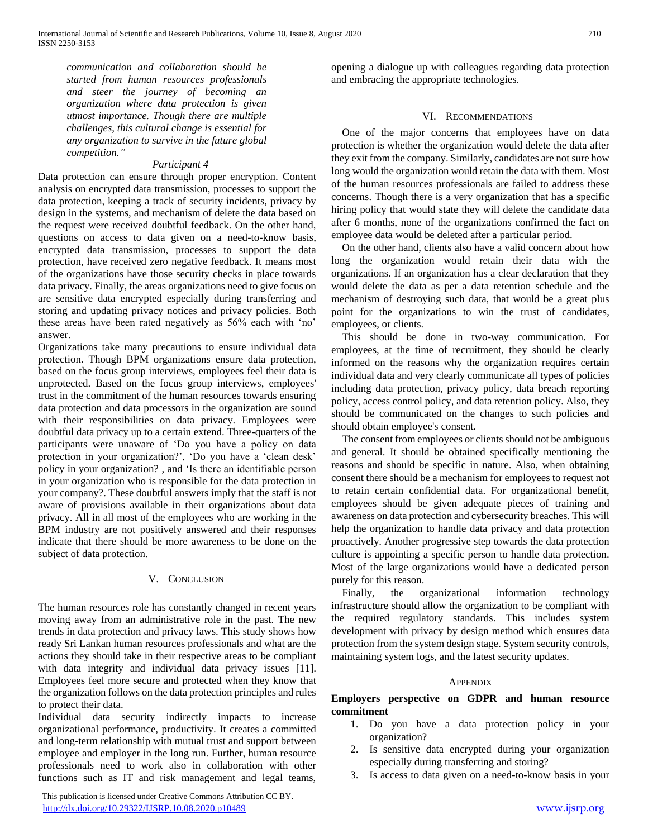*communication and collaboration should be started from human resources professionals and steer the journey of becoming an organization where data protection is given utmost importance. Though there are multiple challenges, this cultural change is essential for any organization to survive in the future global competition."*

#### *Participant 4*

Data protection can ensure through proper encryption. Content analysis on encrypted data transmission, processes to support the data protection, keeping a track of security incidents, privacy by design in the systems, and mechanism of delete the data based on the request were received doubtful feedback. On the other hand, questions on access to data given on a need-to-know basis, encrypted data transmission, processes to support the data protection, have received zero negative feedback. It means most of the organizations have those security checks in place towards data privacy. Finally, the areas organizations need to give focus on are sensitive data encrypted especially during transferring and storing and updating privacy notices and privacy policies. Both these areas have been rated negatively as 56% each with 'no' answer.

Organizations take many precautions to ensure individual data protection. Though BPM organizations ensure data protection, based on the focus group interviews, employees feel their data is unprotected. Based on the focus group interviews, employees' trust in the commitment of the human resources towards ensuring data protection and data processors in the organization are sound with their responsibilities on data privacy. Employees were doubtful data privacy up to a certain extend. Three-quarters of the participants were unaware of 'Do you have a policy on data protection in your organization?', 'Do you have a 'clean desk' policy in your organization? , and 'Is there an identifiable person in your organization who is responsible for the data protection in your company?. These doubtful answers imply that the staff is not aware of provisions available in their organizations about data privacy. All in all most of the employees who are working in the BPM industry are not positively answered and their responses indicate that there should be more awareness to be done on the subject of data protection.

#### V. CONCLUSION

The human resources role has constantly changed in recent years moving away from an administrative role in the past. The new trends in data protection and privacy laws. This study shows how ready Sri Lankan human resources professionals and what are the actions they should take in their respective areas to be compliant with data integrity and individual data privacy issues [11]. Employees feel more secure and protected when they know that the organization follows on the data protection principles and rules to protect their data.

Individual data security indirectly impacts to increase organizational performance, productivity. It creates a committed and long-term relationship with mutual trust and support between employee and employer in the long run. Further, human resource professionals need to work also in collaboration with other functions such as IT and risk management and legal teams,

 This publication is licensed under Creative Commons Attribution CC BY. <http://dx.doi.org/10.29322/IJSRP.10.08.2020.p10489> [www.ijsrp.org](http://ijsrp.org/)

opening a dialogue up with colleagues regarding data protection and embracing the appropriate technologies.

#### VI. RECOMMENDATIONS

One of the major concerns that employees have on data protection is whether the organization would delete the data after they exit from the company. Similarly, candidates are not sure how long would the organization would retain the data with them. Most of the human resources professionals are failed to address these concerns. Though there is a very organization that has a specific hiring policy that would state they will delete the candidate data after 6 months, none of the organizations confirmed the fact on employee data would be deleted after a particular period.

On the other hand, clients also have a valid concern about how long the organization would retain their data with the organizations. If an organization has a clear declaration that they would delete the data as per a data retention schedule and the mechanism of destroying such data, that would be a great plus point for the organizations to win the trust of candidates, employees, or clients.

This should be done in two-way communication. For employees, at the time of recruitment, they should be clearly informed on the reasons why the organization requires certain individual data and very clearly communicate all types of policies including data protection, privacy policy, data breach reporting policy, access control policy, and data retention policy. Also, they should be communicated on the changes to such policies and should obtain employee's consent.

The consent from employees or clients should not be ambiguous and general. It should be obtained specifically mentioning the reasons and should be specific in nature. Also, when obtaining consent there should be a mechanism for employees to request not to retain certain confidential data. For organizational benefit, employees should be given adequate pieces of training and awareness on data protection and cybersecurity breaches. This will help the organization to handle data privacy and data protection proactively. Another progressive step towards the data protection culture is appointing a specific person to handle data protection. Most of the large organizations would have a dedicated person purely for this reason.

Finally, the organizational information technology infrastructure should allow the organization to be compliant with the required regulatory standards. This includes system development with privacy by design method which ensures data protection from the system design stage. System security controls, maintaining system logs, and the latest security updates.

#### **APPENDIX**

**Employers perspective on GDPR and human resource commitment**

- 1. Do you have a data protection policy in your organization?
- 2. Is sensitive data encrypted during your organization especially during transferring and storing?
- 3. Is access to data given on a need-to-know basis in your